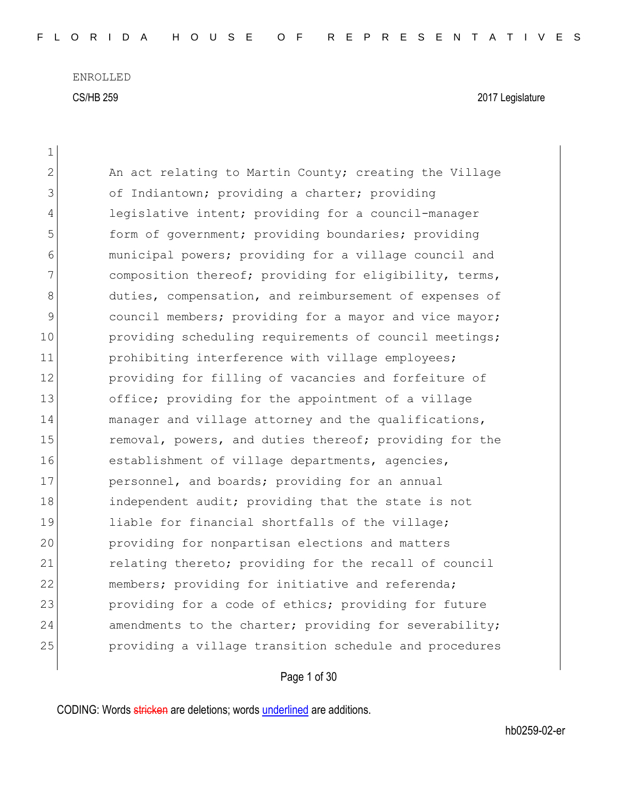| 1           |                                                        |
|-------------|--------------------------------------------------------|
| 2           | An act relating to Martin County; creating the Village |
| 3           | of Indiantown; providing a charter; providing          |
| 4           | legislative intent; providing for a council-manager    |
| 5           | form of government; providing boundaries; providing    |
| 6           | municipal powers; providing for a village council and  |
| 7           | composition thereof; providing for eligibility, terms, |
| 8           | duties, compensation, and reimbursement of expenses of |
| $\mathsf 9$ | council members; providing for a mayor and vice mayor; |
| 10          | providing scheduling requirements of council meetings; |
| 11          | prohibiting interference with village employees;       |
| 12          | providing for filling of vacancies and forfeiture of   |
| 13          | office; providing for the appointment of a village     |
| 14          | manager and village attorney and the qualifications,   |
| 15          | removal, powers, and duties thereof; providing for the |
| 16          | establishment of village departments, agencies,        |
| 17          | personnel, and boards; providing for an annual         |
| 18          | independent audit; providing that the state is not     |
| 19          | liable for financial shortfalls of the village;        |
| 20          | providing for nonpartisan elections and matters        |
| 21          | relating thereto; providing for the recall of council  |
| 22          | members; providing for initiative and referenda;       |
| 23          | providing for a code of ethics; providing for future   |
| 24          | amendments to the charter; providing for severability; |
| 25          | providing a village transition schedule and procedures |
|             |                                                        |

Page 1 of 30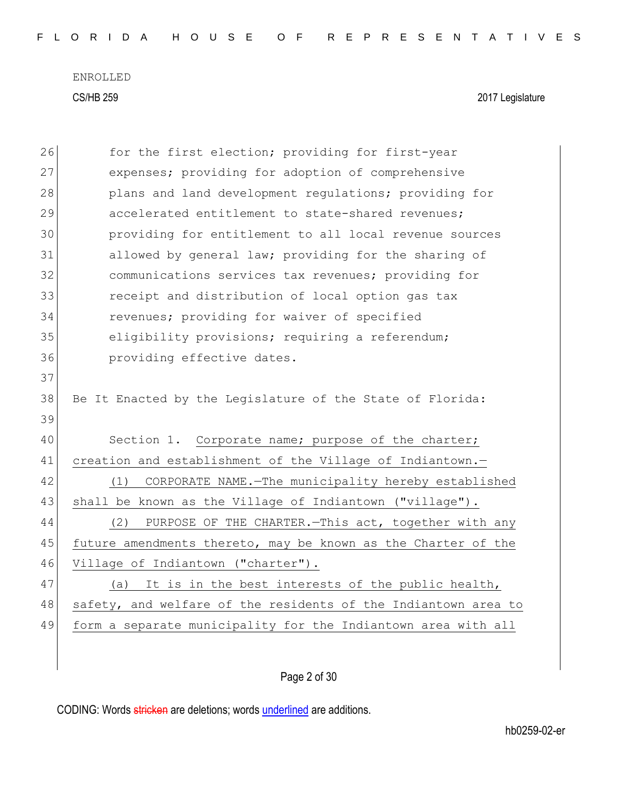| 26 | for the first election; providing for first-year               |
|----|----------------------------------------------------------------|
| 27 | expenses; providing for adoption of comprehensive              |
| 28 | plans and land development regulations; providing for          |
| 29 | accelerated entitlement to state-shared revenues;              |
| 30 | providing for entitlement to all local revenue sources         |
| 31 | allowed by general law; providing for the sharing of           |
| 32 | communications services tax revenues; providing for            |
| 33 | receipt and distribution of local option gas tax               |
| 34 | revenues; providing for waiver of specified                    |
| 35 | eligibility provisions; requiring a referendum;                |
| 36 | providing effective dates.                                     |
| 37 |                                                                |
| 38 | Be It Enacted by the Legislature of the State of Florida:      |
| 39 |                                                                |
| 40 | Section 1. Corporate name; purpose of the charter;             |
| 41 | creation and establishment of the Village of Indiantown.-      |
| 42 | CORPORATE NAME.-The municipality hereby established<br>(1)     |
| 43 | shall be known as the Village of Indiantown ("village").       |
| 44 | PURPOSE OF THE CHARTER. - This act, together with any<br>(2)   |
| 45 | future amendments thereto, may be known as the Charter of the  |
| 46 | Village of Indiantown ("charter").                             |
| 47 | It is in the best interests of the public health,<br>(a)       |
| 48 | safety, and welfare of the residents of the Indiantown area to |
| 49 | form a separate municipality for the Indiantown area with all  |
|    |                                                                |
|    |                                                                |

Page 2 of 30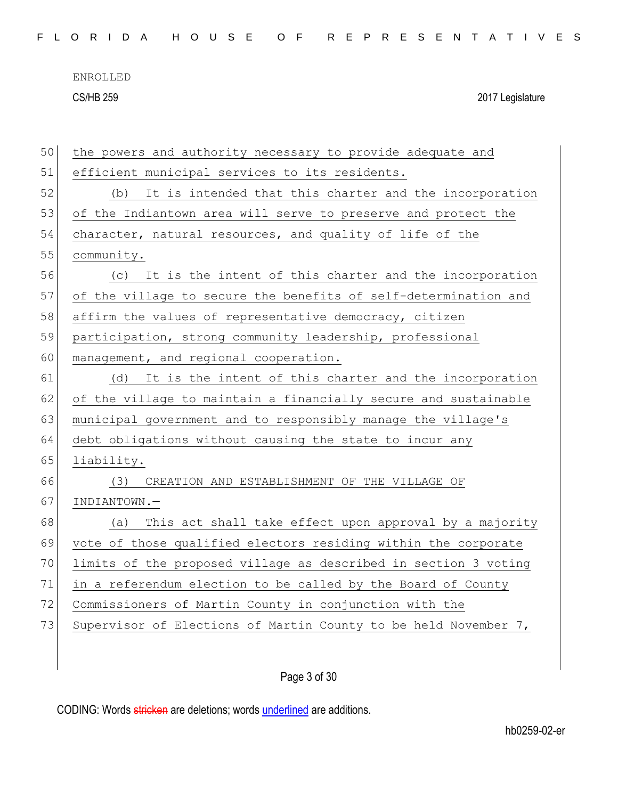|  |  |  |  |  |  |  |  |  |  |  |  |  |  | FLORIDA HOUSE OF REPRESENTATIVES |  |  |  |  |  |  |  |  |  |  |  |  |  |  |  |  |
|--|--|--|--|--|--|--|--|--|--|--|--|--|--|----------------------------------|--|--|--|--|--|--|--|--|--|--|--|--|--|--|--|--|
|--|--|--|--|--|--|--|--|--|--|--|--|--|--|----------------------------------|--|--|--|--|--|--|--|--|--|--|--|--|--|--|--|--|

| 50 | the powers and authority necessary to provide adequate and      |
|----|-----------------------------------------------------------------|
| 51 | efficient municipal services to its residents.                  |
| 52 | It is intended that this charter and the incorporation<br>(b)   |
| 53 | of the Indiantown area will serve to preserve and protect the   |
| 54 | character, natural resources, and quality of life of the        |
| 55 | community.                                                      |
| 56 | It is the intent of this charter and the incorporation<br>(C)   |
| 57 | of the village to secure the benefits of self-determination and |
| 58 | affirm the values of representative democracy, citizen          |
| 59 | participation, strong community leadership, professional        |
| 60 | management, and regional cooperation.                           |
| 61 | It is the intent of this charter and the incorporation<br>(d)   |
| 62 | of the village to maintain a financially secure and sustainable |
| 63 | municipal government and to responsibly manage the village's    |
| 64 | debt obligations without causing the state to incur any         |
| 65 | liability.                                                      |
| 66 | CREATION AND ESTABLISHMENT OF THE VILLAGE OF<br>(3)             |
| 67 | INDIANTOWN.-                                                    |
| 68 | This act shall take effect upon approval by a majority<br>(a)   |
| 69 | vote of those qualified electors residing within the corporate  |
| 70 | limits of the proposed village as described in section 3 voting |
| 71 | in a referendum election to be called by the Board of County    |
| 72 | Commissioners of Martin County in conjunction with the          |
| 73 | Supervisor of Elections of Martin County to be held November 7, |
|    |                                                                 |
|    |                                                                 |

Page 3 of 30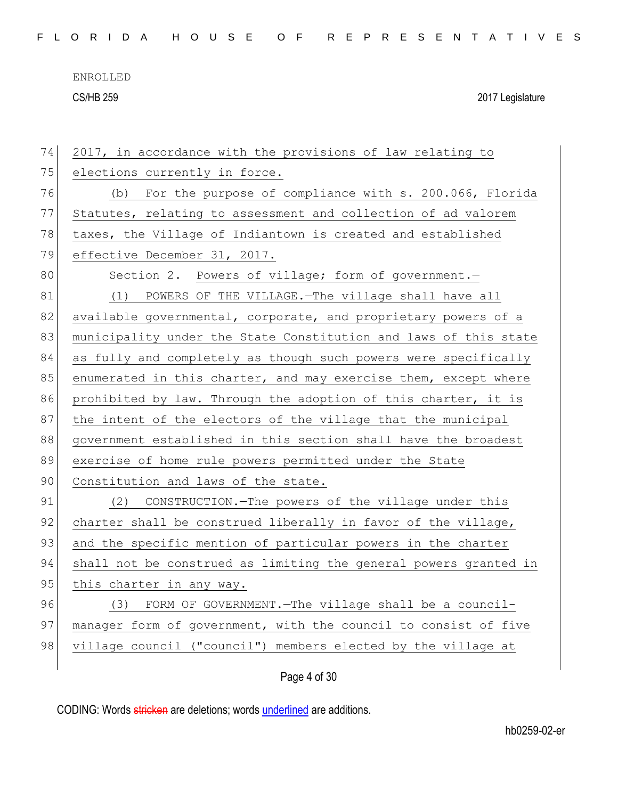| 74 | 2017, in accordance with the provisions of law relating to       |
|----|------------------------------------------------------------------|
| 75 | elections currently in force.                                    |
| 76 | (b) For the purpose of compliance with s. 200.066, Florida       |
| 77 | Statutes, relating to assessment and collection of ad valorem    |
| 78 | taxes, the Village of Indiantown is created and established      |
| 79 | effective December 31, 2017.                                     |
| 80 | Section 2. Powers of village; form of government.-               |
| 81 | (1) POWERS OF THE VILLAGE. - The village shall have all          |
| 82 | available governmental, corporate, and proprietary powers of a   |
| 83 | municipality under the State Constitution and laws of this state |
| 84 | as fully and completely as though such powers were specifically  |
| 85 | enumerated in this charter, and may exercise them, except where  |
| 86 | prohibited by law. Through the adoption of this charter, it is   |
| 87 | the intent of the electors of the village that the municipal     |
| 88 | government established in this section shall have the broadest   |
| 89 | exercise of home rule powers permitted under the State           |
| 90 | Constitution and laws of the state.                              |
| 91 | (2) CONSTRUCTION. - The powers of the village under this         |
| 92 | charter shall be construed liberally in favor of the village,    |
| 93 | and the specific mention of particular powers in the charter     |
| 94 | shall not be construed as limiting the general powers granted in |
| 95 | this charter in any way.                                         |
| 96 | (3) FORM OF GOVERNMENT. - The village shall be a council-        |
| 97 | manager form of government, with the council to consist of five  |
| 98 | village council ("council") members elected by the village at    |
|    |                                                                  |

Page 4 of 30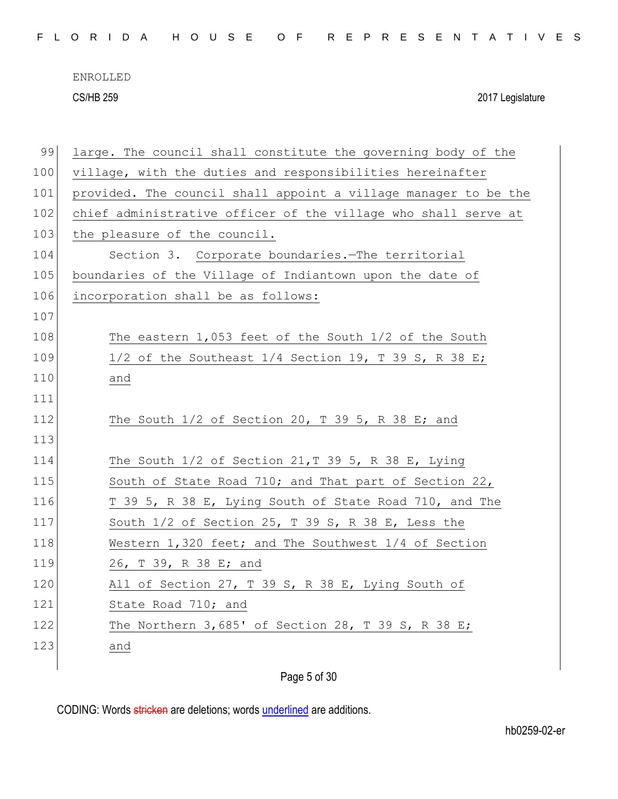| FLORIDA HOUSE OF REPRESENTATIVES |  |  |  |  |  |  |  |  |  |  |  |  |  |  |  |  |  |  |  |  |  |  |  |  |  |  |  |  |  |  |  |
|----------------------------------|--|--|--|--|--|--|--|--|--|--|--|--|--|--|--|--|--|--|--|--|--|--|--|--|--|--|--|--|--|--|--|
|----------------------------------|--|--|--|--|--|--|--|--|--|--|--|--|--|--|--|--|--|--|--|--|--|--|--|--|--|--|--|--|--|--|--|

| 99  | large. The council shall constitute the governing body of the   |
|-----|-----------------------------------------------------------------|
| 100 | village, with the duties and responsibilities hereinafter       |
| 101 | provided. The council shall appoint a village manager to be the |
| 102 | chief administrative officer of the village who shall serve at  |
| 103 | the pleasure of the council.                                    |
| 104 | Section 3. Corporate boundaries. The territorial                |
| 105 | boundaries of the Village of Indiantown upon the date of        |
| 106 | incorporation shall be as follows:                              |
| 107 |                                                                 |
| 108 | The eastern $1,053$ feet of the South $1/2$ of the South        |
| 109 | 1/2 of the Southeast $1/4$ Section 19, T 39 S, R 38 E;          |
| 110 | and                                                             |
| 111 |                                                                 |
| 112 | The South $1/2$ of Section 20, T 39 5, R 38 E; and              |
| 113 |                                                                 |
| 114 | The South $1/2$ of Section $21, T$ 39 5, R 38 E, Lying          |
| 115 | South of State Road 710; and That part of Section 22,           |
| 116 | T 39 5, R 38 E, Lying South of State Road 710, and The          |
| 117 | South 1/2 of Section 25, T 39 S, R 38 E, Less the               |
| 118 | Western 1,320 feet; and The Southwest 1/4 of Section            |
| 119 | 26, T 39, R 38 E; and                                           |
| 120 | All of Section 27, T 39 S, R 38 E, Lying South of               |
| 121 | State Road 710; and                                             |
| 122 | The Northern $3,685'$ of Section 28, T 39 S, R 38 E;            |
| 123 | and                                                             |
|     |                                                                 |

Page 5 of 30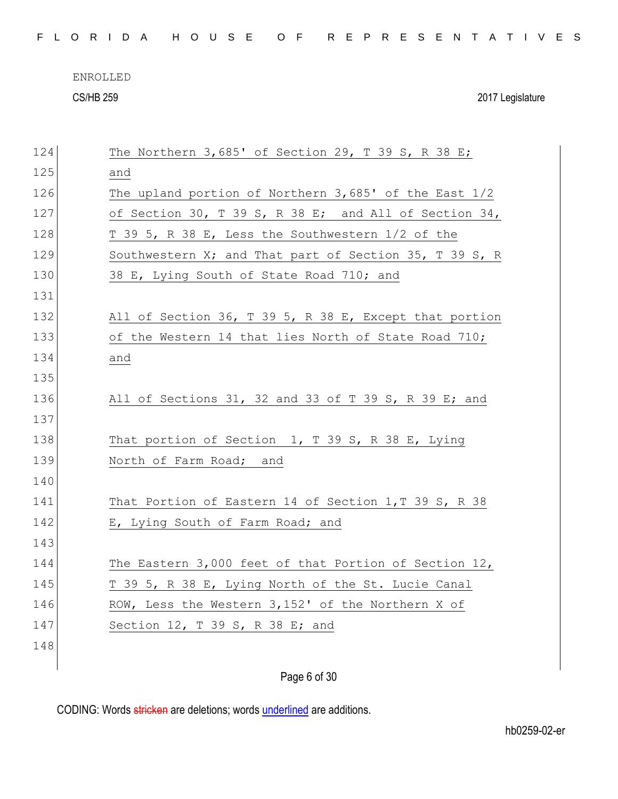| FLORIDA HOUSE OF REPRESENTATIVES |  |
|----------------------------------|--|
|----------------------------------|--|

| 124 | The Northern $3,685'$ of Section 29, T 39 S, R 38 E;   |
|-----|--------------------------------------------------------|
| 125 | and                                                    |
| 126 | The upland portion of Northern 3,685' of the East 1/2  |
| 127 | of Section 30, T 39 S, R 38 E; and All of Section 34,  |
| 128 | T 39 5, R 38 E, Less the Southwestern 1/2 of the       |
| 129 | Southwestern X; and That part of Section 35, T 39 S, R |
| 130 | 38 E, Lying South of State Road 710; and               |
| 131 |                                                        |
| 132 | All of Section 36, T 39 5, R 38 E, Except that portion |
| 133 | of the Western 14 that lies North of State Road 710;   |
| 134 | and                                                    |
| 135 |                                                        |
| 136 | All of Sections 31, 32 and 33 of T 39 S, R 39 E; and   |
| 137 |                                                        |
| 138 | That portion of Section 1, T 39 S, R 38 E, Lying       |
| 139 | North of Farm Road; and                                |
| 140 |                                                        |
| 141 | That Portion of Eastern 14 of Section 1, T 39 S, R 38  |
| 142 | E, Lying South of Farm Road; and                       |
| 143 |                                                        |
| 144 | The Eastern 3,000 feet of that Portion of Section 12,  |
| 145 | T 39 5, R 38 E, Lying North of the St. Lucie Canal     |
| 146 | ROW, Less the Western 3,152' of the Northern X of      |
| 147 | Section 12, T 39 S, R 38 E; and                        |
| 148 |                                                        |
|     |                                                        |
|     | Page 6 of 30                                           |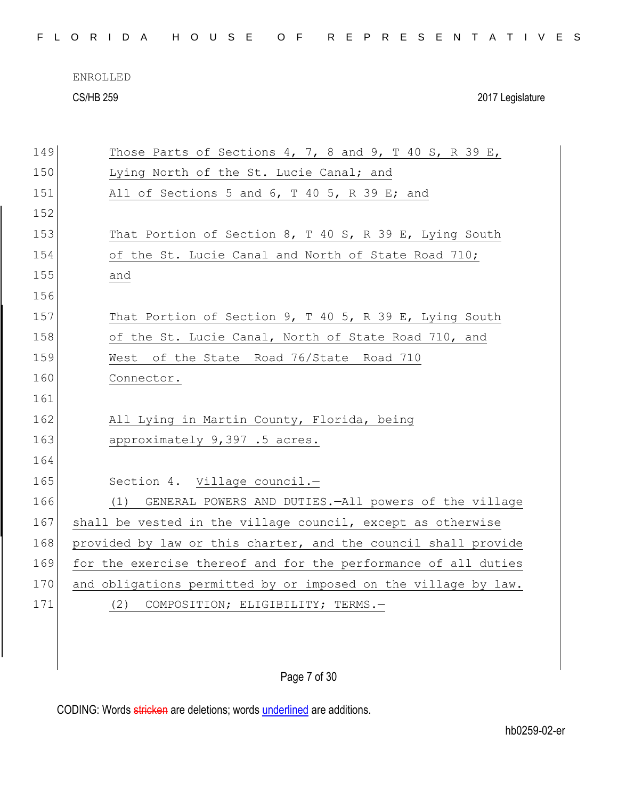| FLORIDA HOUSE OF REPRESENTATIVES |  |
|----------------------------------|--|
|----------------------------------|--|

| 149 | Those Parts of Sections 4, 7, 8 and 9, T 40 S, R 39 E,         |
|-----|----------------------------------------------------------------|
| 150 | Lying North of the St. Lucie Canal; and                        |
| 151 | All of Sections 5 and 6, T 40 5, R 39 E; and                   |
| 152 |                                                                |
| 153 | That Portion of Section 8, T 40 S, R 39 E, Lying South         |
| 154 | of the St. Lucie Canal and North of State Road 710;            |
| 155 | and                                                            |
| 156 |                                                                |
| 157 | That Portion of Section 9, T 40 5, R 39 E, Lying South         |
| 158 | of the St. Lucie Canal, North of State Road 710, and           |
| 159 | West of the State Road 76/State Road 710                       |
| 160 | Connector.                                                     |
| 161 |                                                                |
| 162 | All Lying in Martin County, Florida, being                     |
| 163 | approximately 9,397 .5 acres.                                  |
| 164 |                                                                |
| 165 | Section 4. Village council.-                                   |
| 166 | GENERAL POWERS AND DUTIES. - All powers of the village<br>(1)  |
| 167 | shall be vested in the village council, except as otherwise    |
| 168 | provided by law or this charter, and the council shall provide |
| 169 | for the exercise thereof and for the performance of all duties |
| 170 | and obligations permitted by or imposed on the village by law. |
| 171 | COMPOSITION; ELIGIBILITY; TERMS.-<br>(2)                       |
|     |                                                                |
|     |                                                                |

Page 7 of 30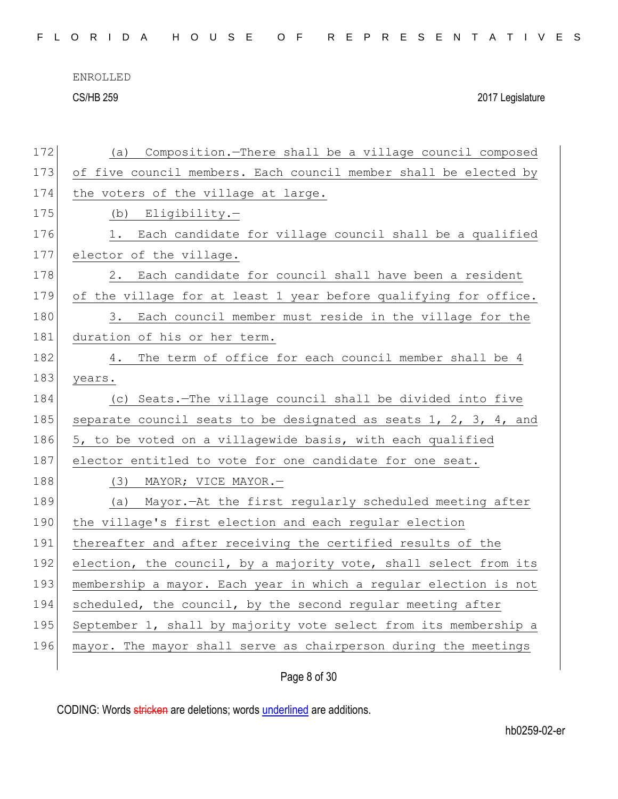|--|

| 172 | Composition.-There shall be a village council composed<br>(a)    |
|-----|------------------------------------------------------------------|
| 173 | of five council members. Each council member shall be elected by |
| 174 | the voters of the village at large.                              |
| 175 | (b) Eligibility.-                                                |
| 176 | 1. Each candidate for village council shall be a qualified       |
| 177 | elector of the village.                                          |
| 178 | Each candidate for council shall have been a resident<br>2.      |
| 179 | of the village for at least 1 year before qualifying for office. |
| 180 | Each council member must reside in the village for the<br>3.     |
| 181 | duration of his or her term.                                     |
| 182 | The term of office for each council member shall be 4<br>4.      |
| 183 | years.                                                           |
| 184 | (c) Seats.-The village council shall be divided into five        |
| 185 | separate council seats to be designated as seats 1, 2, 3, 4, and |
| 186 | 5, to be voted on a villagewide basis, with each qualified       |
| 187 | elector entitled to vote for one candidate for one seat.         |
| 188 | (3) MAYOR; VICE MAYOR.-                                          |
| 189 | (a) Mayor.-At the first regularly scheduled meeting after        |
| 190 | the village's first election and each regular election           |
| 191 | thereafter and after receiving the certified results of the      |
| 192 | election, the council, by a majority vote, shall select from its |
| 193 | membership a mayor. Each year in which a regular election is not |
| 194 | scheduled, the council, by the second regular meeting after      |
| 195 | September 1, shall by majority vote select from its membership a |
| 196 | mayor. The mayor shall serve as chairperson during the meetings  |
|     |                                                                  |

Page 8 of 30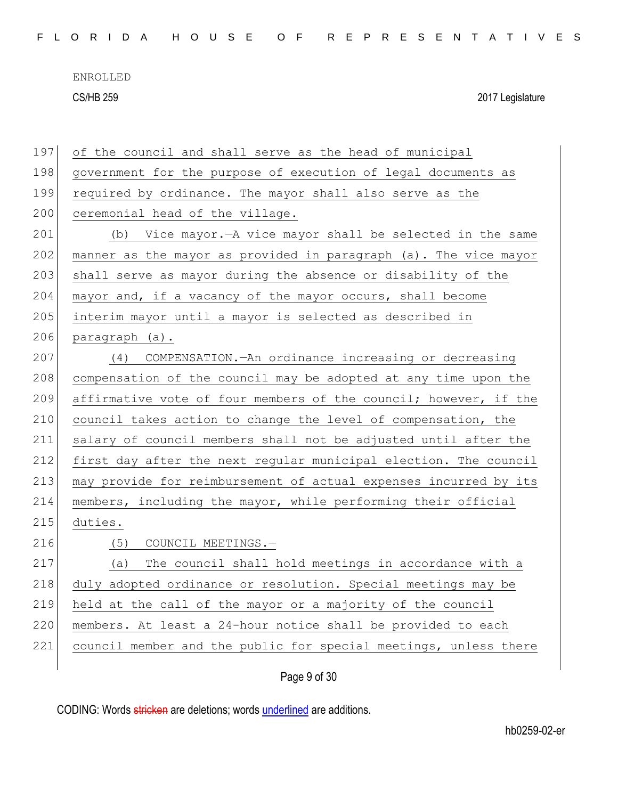| 197 | of the council and shall serve as the head of municipal          |
|-----|------------------------------------------------------------------|
| 198 | government for the purpose of execution of legal documents as    |
| 199 | required by ordinance. The mayor shall also serve as the         |
| 200 | ceremonial head of the village.                                  |
| 201 | (b) Vice mayor.—A vice mayor shall be selected in the same       |
| 202 | manner as the mayor as provided in paragraph (a). The vice mayor |
| 203 | shall serve as mayor during the absence or disability of the     |
| 204 | mayor and, if a vacancy of the mayor occurs, shall become        |
| 205 | interim mayor until a mayor is selected as described in          |
| 206 | paragraph (a).                                                   |
| 207 | (4) COMPENSATION. - An ordinance increasing or decreasing        |
| 208 | compensation of the council may be adopted at any time upon the  |
| 209 | affirmative vote of four members of the council; however, if the |
| 210 | council takes action to change the level of compensation, the    |
| 211 | salary of council members shall not be adjusted until after the  |
| 212 | first day after the next regular municipal election. The council |
| 213 | may provide for reimbursement of actual expenses incurred by its |
| 214 | members, including the mayor, while performing their official    |
| 215 | duties.                                                          |
| 216 | (5)<br>COUNCIL MEETINGS.-                                        |
| 217 | The council shall hold meetings in accordance with a<br>(a)      |
| 218 | duly adopted ordinance or resolution. Special meetings may be    |
| 219 | held at the call of the mayor or a majority of the council       |
| 220 | members. At least a 24-hour notice shall be provided to each     |
| 221 | council member and the public for special meetings, unless there |
|     |                                                                  |

Page 9 of 30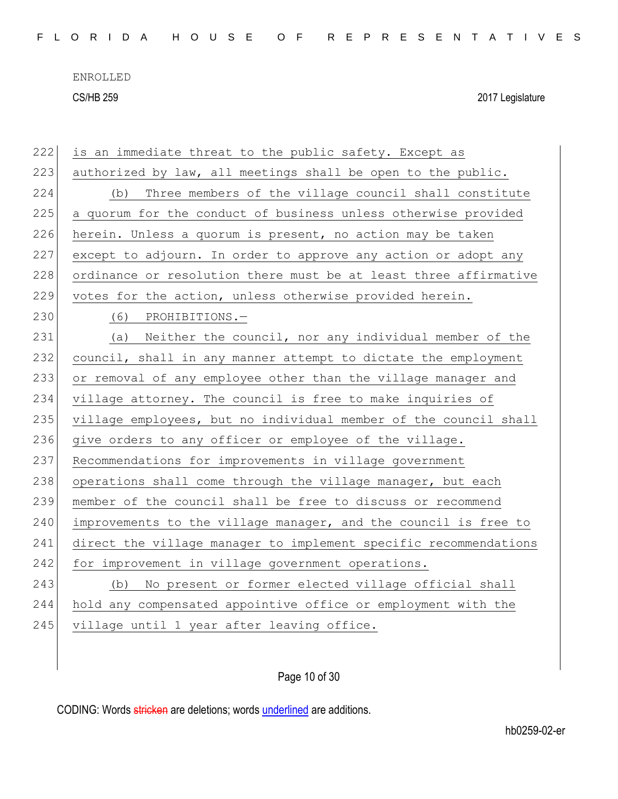| 222 | is an immediate threat to the public safety. Except as           |
|-----|------------------------------------------------------------------|
| 223 | authorized by law, all meetings shall be open to the public.     |
| 224 | Three members of the village council shall constitute<br>(b)     |
| 225 | a quorum for the conduct of business unless otherwise provided   |
| 226 | herein. Unless a quorum is present, no action may be taken       |
| 227 | except to adjourn. In order to approve any action or adopt any   |
| 228 | ordinance or resolution there must be at least three affirmative |
| 229 | votes for the action, unless otherwise provided herein.          |
| 230 | PROHIBITIONS.-<br>(6)                                            |
| 231 | Neither the council, nor any individual member of the<br>(a)     |
| 232 | council, shall in any manner attempt to dictate the employment   |
| 233 | or removal of any employee other than the village manager and    |
| 234 | village attorney. The council is free to make inquiries of       |
| 235 | village employees, but no individual member of the council shall |
| 236 | give orders to any officer or employee of the village.           |
| 237 | Recommendations for improvements in village government           |
| 238 | operations shall come through the village manager, but each      |
| 239 | member of the council shall be free to discuss or recommend      |
| 240 | improvements to the village manager, and the council is free to  |
| 241 | direct the village manager to implement specific recommendations |
| 242 | for improvement in village government operations.                |
| 243 | No present or former elected village official shall<br>(b)       |
| 244 | hold any compensated appointive office or employment with the    |
| 245 | village until 1 year after leaving office.                       |
|     |                                                                  |

Page 10 of 30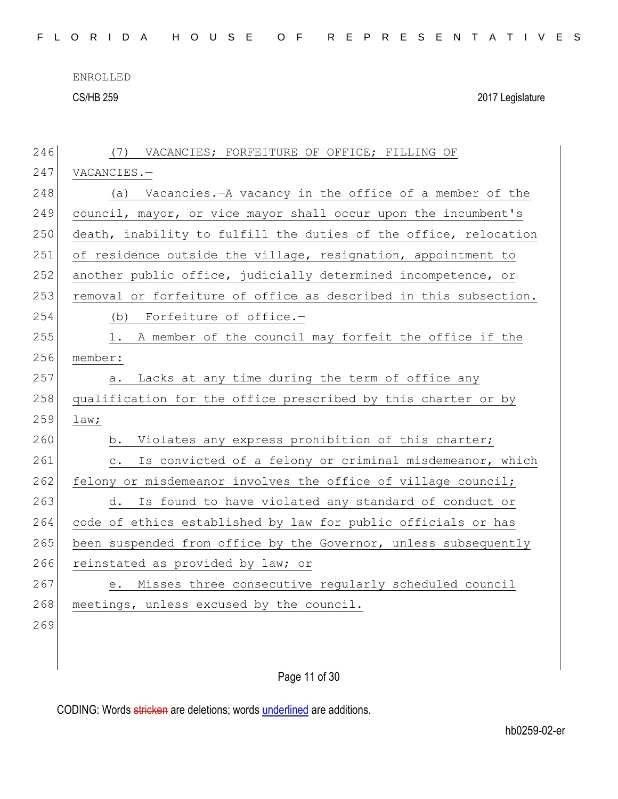ENROLLED

CS/HB 259 2017 Legislature

| 246 | (7) VACANCIES; FORFEITURE OF OFFICE; FILLING OF                          |
|-----|--------------------------------------------------------------------------|
| 247 | VACANCIES.-                                                              |
| 248 | (a) Vacancies.-A vacancy in the office of a member of the                |
| 249 | council, mayor, or vice mayor shall occur upon the incumbent's           |
| 250 | death, inability to fulfill the duties of the office, relocation         |
| 251 | of residence outside the village, resignation, appointment to            |
| 252 | another public office, judicially determined incompetence, or            |
| 253 | removal or forfeiture of office as described in this subsection.         |
| 254 | Forfeiture of office.-<br>(b)                                            |
| 255 | A member of the council may forfeit the office if the<br>1.              |
| 256 | member:                                                                  |
| 257 | Lacks at any time during the term of office any<br>а.                    |
| 258 | qualification for the office prescribed by this charter or by            |
| 259 | law;                                                                     |
| 260 | b. Violates any express prohibition of this charter;                     |
| 261 | Is convicted of a felony or criminal misdemeanor, which<br>$\mathbb C$ . |
| 262 | felony or misdemeanor involves the office of village council;            |
| 263 | Is found to have violated any standard of conduct or<br>d.               |
| 264 | code of ethics established by law for public officials or has            |
| 265 | been suspended from office by the Governor, unless subsequently          |
| 266 | reinstated as provided by law; or                                        |
| 267 | Misses three consecutive regularly scheduled council<br>е.               |
| 268 | meetings, unless excused by the council.                                 |
| 269 |                                                                          |
|     |                                                                          |
|     |                                                                          |

Page 11 of 30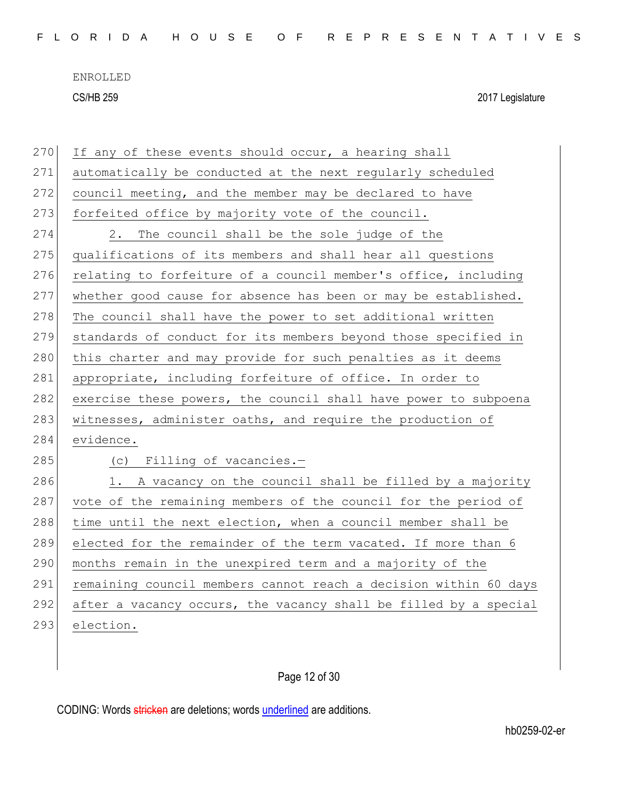| 270 | If any of these events should occur, a hearing shall             |
|-----|------------------------------------------------------------------|
| 271 | automatically be conducted at the next regularly scheduled       |
| 272 | council meeting, and the member may be declared to have          |
| 273 | forfeited office by majority vote of the council.                |
| 274 | The council shall be the sole judge of the<br>2.                 |
| 275 | qualifications of its members and shall hear all questions       |
| 276 | relating to forfeiture of a council member's office, including   |
| 277 | whether good cause for absence has been or may be established.   |
| 278 | The council shall have the power to set additional written       |
| 279 | standards of conduct for its members beyond those specified in   |
| 280 | this charter and may provide for such penalties as it deems      |
| 281 | appropriate, including forfeiture of office. In order to         |
| 282 | exercise these powers, the council shall have power to subpoena  |
| 283 | witnesses, administer oaths, and require the production of       |
| 284 | evidence.                                                        |
| 285 | (c) Filling of vacancies.-                                       |
| 286 | 1. A vacancy on the council shall be filled by a majority        |
| 287 | vote of the remaining members of the council for the period of   |
| 288 | time until the next election, when a council member shall be     |
| 289 | elected for the remainder of the term vacated. If more than 6    |
| 290 | months remain in the unexpired term and a majority of the        |
| 291 | remaining council members cannot reach a decision within 60 days |
| 292 | after a vacancy occurs, the vacancy shall be filled by a special |
| 293 | election.                                                        |
|     |                                                                  |

Page 12 of 30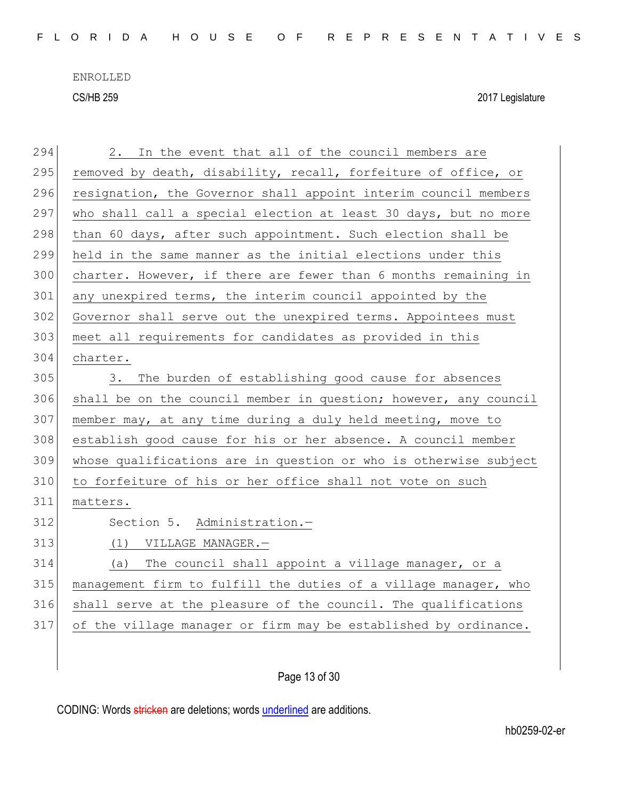| 294 | 2. In the event that all of the council members are              |
|-----|------------------------------------------------------------------|
| 295 | removed by death, disability, recall, forfeiture of office, or   |
| 296 | resignation, the Governor shall appoint interim council members  |
| 297 | who shall call a special election at least 30 days, but no more  |
| 298 | than 60 days, after such appointment. Such election shall be     |
| 299 | held in the same manner as the initial elections under this      |
| 300 | charter. However, if there are fewer than 6 months remaining in  |
| 301 | any unexpired terms, the interim council appointed by the        |
| 302 | Governor shall serve out the unexpired terms. Appointees must    |
| 303 | meet all requirements for candidates as provided in this         |
| 304 | charter.                                                         |
| 305 | The burden of establishing good cause for absences<br>3.         |
| 306 | shall be on the council member in question; however, any council |
| 307 | member may, at any time during a duly held meeting, move to      |
| 308 | establish good cause for his or her absence. A council member    |
| 309 | whose qualifications are in question or who is otherwise subject |
| 310 | to forfeiture of his or her office shall not vote on such        |
| 311 | matters.                                                         |
| 312 | Section 5. Administration.-                                      |
| 313 | (1) VILLAGE MANAGER.-                                            |
| 314 | (a) The council shall appoint a village manager, or a            |
| 315 | management firm to fulfill the duties of a village manager, who  |
| 316 | shall serve at the pleasure of the council. The qualifications   |
| 317 | of the village manager or firm may be established by ordinance.  |
|     |                                                                  |
|     |                                                                  |

Page 13 of 30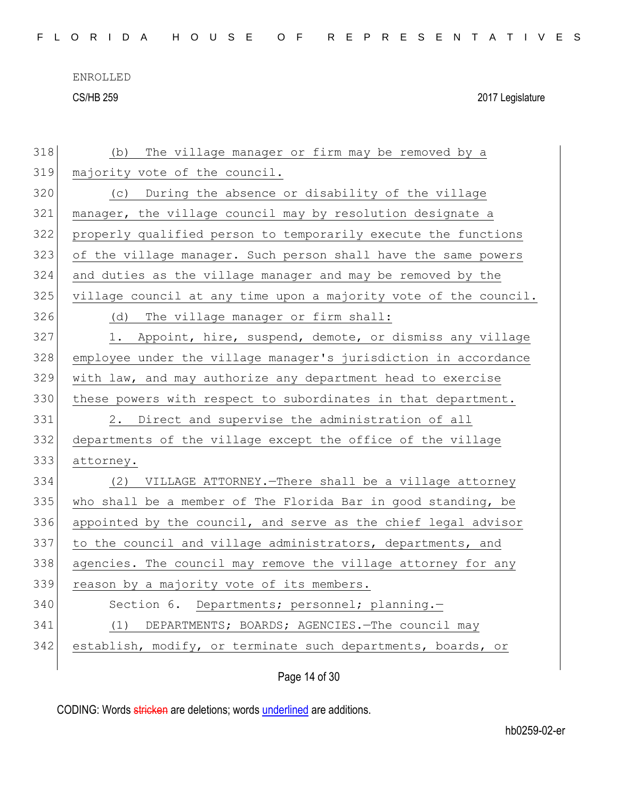| 318 | The village manager or firm may be removed by a<br>(b)           |
|-----|------------------------------------------------------------------|
| 319 | majority vote of the council.                                    |
| 320 | (c) During the absence or disability of the village              |
| 321 | manager, the village council may by resolution designate a       |
| 322 | properly qualified person to temporarily execute the functions   |
| 323 | of the village manager. Such person shall have the same powers   |
| 324 | and duties as the village manager and may be removed by the      |
| 325 | village council at any time upon a majority vote of the council. |
| 326 | (d) The village manager or firm shall:                           |
| 327 | Appoint, hire, suspend, demote, or dismiss any village<br>1.     |
| 328 | employee under the village manager's jurisdiction in accordance  |
| 329 | with law, and may authorize any department head to exercise      |
| 330 | these powers with respect to subordinates in that department.    |
| 331 | 2. Direct and supervise the administration of all                |
| 332 | departments of the village except the office of the village      |
| 333 | attorney.                                                        |
| 334 | (2) VILLAGE ATTORNEY. - There shall be a village attorney        |
| 335 | who shall be a member of The Florida Bar in good standing, be    |
| 336 | appointed by the council, and serve as the chief legal advisor   |
| 337 | to the council and village administrators, departments, and      |
| 338 | agencies. The council may remove the village attorney for any    |
| 339 | reason by a majority vote of its members.                        |
| 340 | Section 6. Departments; personnel; planning.-                    |
| 341 | (1) DEPARTMENTS; BOARDS; AGENCIES. The council may               |
|     |                                                                  |
| 342 | establish, modify, or terminate such departments, boards, or     |

Page 14 of 30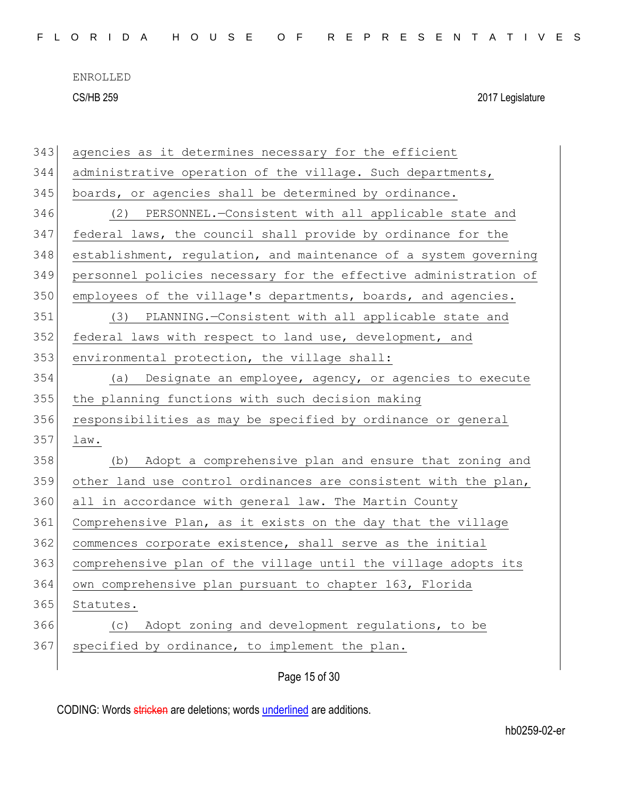|  |  |  | FLORIDA HOUSE OF REPRESENTATIVES |  |  |  |  |  |  |  |  |  |  |  |  |  |
|--|--|--|----------------------------------|--|--|--|--|--|--|--|--|--|--|--|--|--|
|  |  |  |                                  |  |  |  |  |  |  |  |  |  |  |  |  |  |

| 343 | agencies as it determines necessary for the efficient            |
|-----|------------------------------------------------------------------|
| 344 | administrative operation of the village. Such departments,       |
| 345 | boards, or agencies shall be determined by ordinance.            |
| 346 | (2) PERSONNEL.-Consistent with all applicable state and          |
| 347 | federal laws, the council shall provide by ordinance for the     |
| 348 | establishment, regulation, and maintenance of a system governing |
| 349 | personnel policies necessary for the effective administration of |
| 350 | employees of the village's departments, boards, and agencies.    |
| 351 | PLANNING.-Consistent with all applicable state and<br>(3)        |
| 352 | federal laws with respect to land use, development, and          |
| 353 | environmental protection, the village shall:                     |
| 354 | Designate an employee, agency, or agencies to execute<br>(a)     |
| 355 | the planning functions with such decision making                 |
| 356 | responsibilities as may be specified by ordinance or general     |
| 357 | law.                                                             |
| 358 | (b) Adopt a comprehensive plan and ensure that zoning and        |
| 359 | other land use control ordinances are consistent with the plan,  |
| 360 | all in accordance with general law. The Martin County            |
| 361 | Comprehensive Plan, as it exists on the day that the village     |
| 362 | commences corporate existence, shall serve as the initial        |
| 363 | comprehensive plan of the village until the village adopts its   |
| 364 | own comprehensive plan pursuant to chapter 163, Florida          |
| 365 | Statutes.                                                        |
| 366 | (c) Adopt zoning and development regulations, to be              |
| 367 | specified by ordinance, to implement the plan.                   |
|     |                                                                  |

Page 15 of 30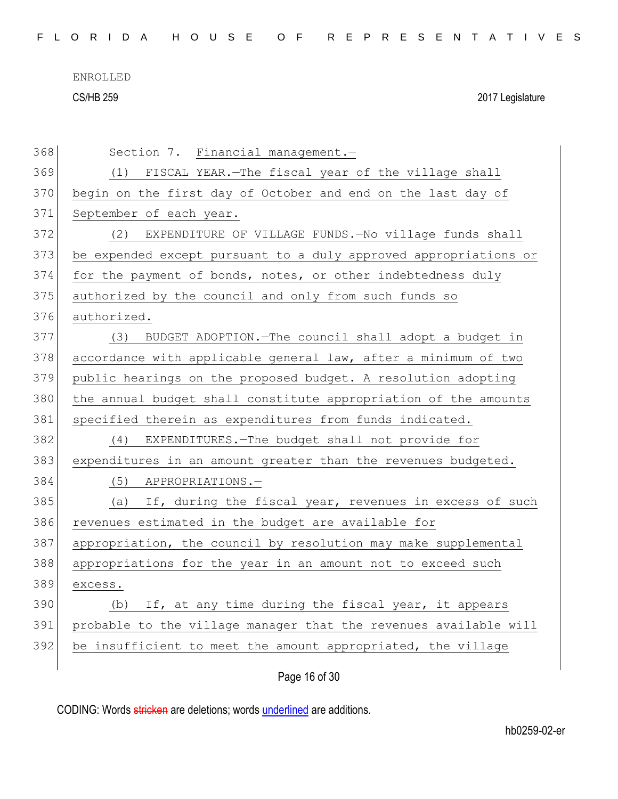|  |  |  |  |  |  | FLORIDA HOUSE OF REPRESENTATIVES |  |  |  |  |  |  |  |  |  |  |
|--|--|--|--|--|--|----------------------------------|--|--|--|--|--|--|--|--|--|--|
|  |  |  |  |  |  |                                  |  |  |  |  |  |  |  |  |  |  |

ENROLLED

CS/HB 259 2017 Legislature

| 368 | Section 7. Financial management.-                                |
|-----|------------------------------------------------------------------|
| 369 | (1) FISCAL YEAR.-The fiscal year of the village shall            |
| 370 | begin on the first day of October and end on the last day of     |
| 371 | September of each year.                                          |
| 372 | (2) EXPENDITURE OF VILLAGE FUNDS.-No village funds shall         |
| 373 | be expended except pursuant to a duly approved appropriations or |
| 374 | for the payment of bonds, notes, or other indebtedness duly      |
| 375 | authorized by the council and only from such funds so            |
| 376 | authorized.                                                      |
| 377 | BUDGET ADOPTION. - The council shall adopt a budget in<br>(3)    |
| 378 | accordance with applicable general law, after a minimum of two   |
| 379 | public hearings on the proposed budget. A resolution adopting    |
| 380 | the annual budget shall constitute appropriation of the amounts  |
| 381 | specified therein as expenditures from funds indicated.          |
| 382 | EXPENDITURES. - The budget shall not provide for<br>(4)          |
| 383 | expenditures in an amount greater than the revenues budgeted.    |
| 384 | (5) APPROPRIATIONS.-                                             |
| 385 | (a) If, during the fiscal year, revenues in excess of such       |
| 386 | revenues estimated in the budget are available for               |
| 387 | appropriation, the council by resolution may make supplemental   |
| 388 | appropriations for the year in an amount not to exceed such      |
| 389 | excess.                                                          |
| 390 | (b) If, at any time during the fiscal year, it appears           |
| 391 | probable to the village manager that the revenues available will |
| 392 | be insufficient to meet the amount appropriated, the village     |
|     |                                                                  |

Page 16 of 30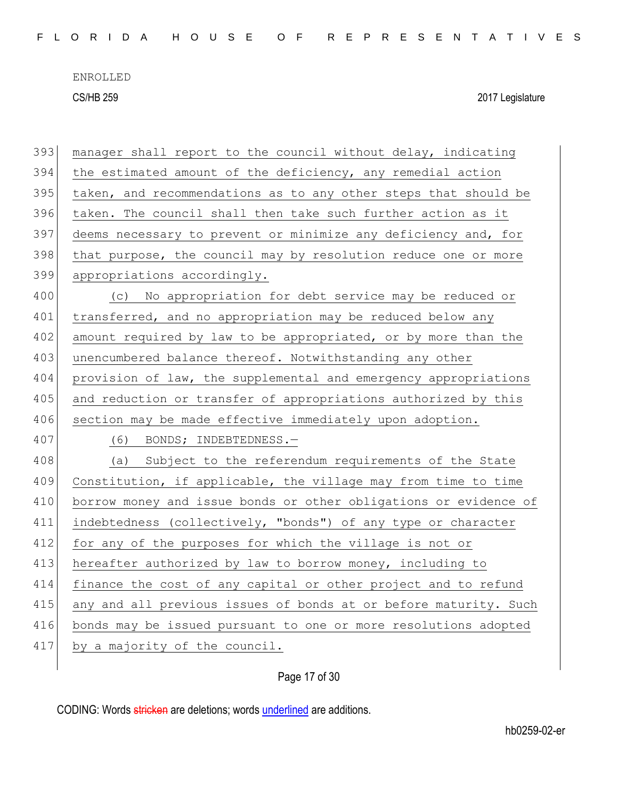| 393 | manager shall report to the council without delay, indicating    |
|-----|------------------------------------------------------------------|
| 394 | the estimated amount of the deficiency, any remedial action      |
| 395 | taken, and recommendations as to any other steps that should be  |
| 396 | taken. The council shall then take such further action as it     |
| 397 | deems necessary to prevent or minimize any deficiency and, for   |
| 398 | that purpose, the council may by resolution reduce one or more   |
| 399 | appropriations accordingly.                                      |
| 400 | (c) No appropriation for debt service may be reduced or          |
| 401 | transferred, and no appropriation may be reduced below any       |
| 402 | amount required by law to be appropriated, or by more than the   |
| 403 | unencumbered balance thereof. Notwithstanding any other          |
| 404 | provision of law, the supplemental and emergency appropriations  |
| 405 | and reduction or transfer of appropriations authorized by this   |
| 406 | section may be made effective immediately upon adoption.         |
| 407 | (6) BONDS; INDEBTEDNESS.-                                        |
| 408 | (a) Subject to the referendum requirements of the State          |
|     |                                                                  |
| 409 | Constitution, if applicable, the village may from time to time   |
| 410 | borrow money and issue bonds or other obligations or evidence of |
| 411 | indebtedness (collectively, "bonds") of any type or character    |
| 412 | for any of the purposes for which the village is not or          |
| 413 | hereafter authorized by law to borrow money, including to        |
| 414 | finance the cost of any capital or other project and to refund   |
| 415 | any and all previous issues of bonds at or before maturity. Such |
| 416 | bonds may be issued pursuant to one or more resolutions adopted  |
| 417 | by a majority of the council.                                    |

Page 17 of 30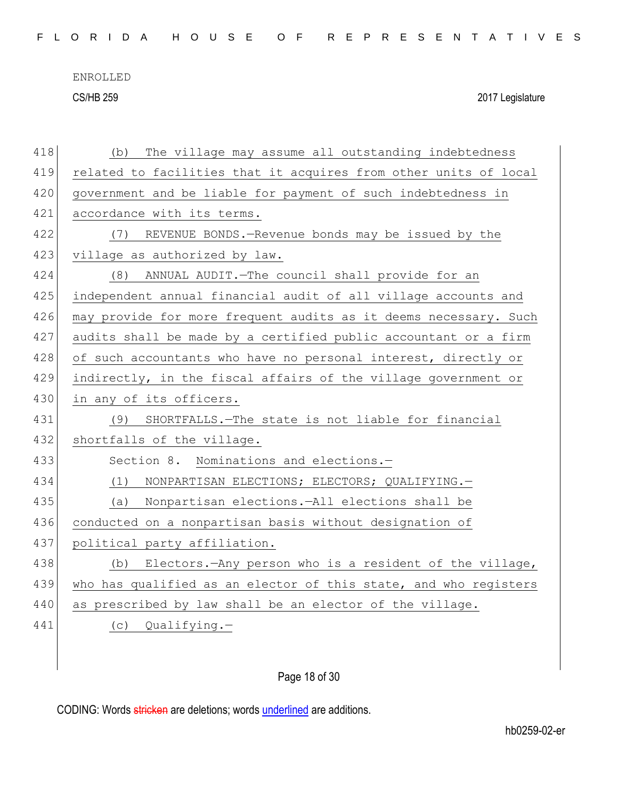F L O R I D A H O U S E O F R E P R E S E N T A T I V E S

ENROLLED

CS/HB 259 2017 Legislature

| 418 | The village may assume all outstanding indebtedness<br>(b)       |
|-----|------------------------------------------------------------------|
| 419 | related to facilities that it acquires from other units of local |
| 420 | government and be liable for payment of such indebtedness in     |
| 421 | accordance with its terms.                                       |
| 422 | (7) REVENUE BONDS. - Revenue bonds may be issued by the          |
| 423 | village as authorized by law.                                    |
| 424 | ANNUAL AUDIT. - The council shall provide for an<br>(8)          |
| 425 | independent annual financial audit of all village accounts and   |
| 426 | may provide for more frequent audits as it deems necessary. Such |
| 427 | audits shall be made by a certified public accountant or a firm  |
| 428 | of such accountants who have no personal interest, directly or   |
| 429 | indirectly, in the fiscal affairs of the village government or   |
| 430 | in any of its officers.                                          |
| 431 | (9) SHORTFALLS.-The state is not liable for financial            |
| 432 | shortfalls of the village.                                       |
| 433 | Section 8. Nominations and elections.-                           |
| 434 | (1)<br>NONPARTISAN ELECTIONS; ELECTORS; QUALIFYING.-             |
| 435 | (a) Nonpartisan elections.-All elections shall be                |
| 436 | conducted on a nonpartisan basis without designation of          |
| 437 | political party affiliation.                                     |
| 438 | Electors. - Any person who is a resident of the village,<br>(b)  |
| 439 | who has qualified as an elector of this state, and who registers |
| 440 | as prescribed by law shall be an elector of the village.         |
| 441 | (c) Qualifying.-                                                 |
|     |                                                                  |

## Page 18 of 30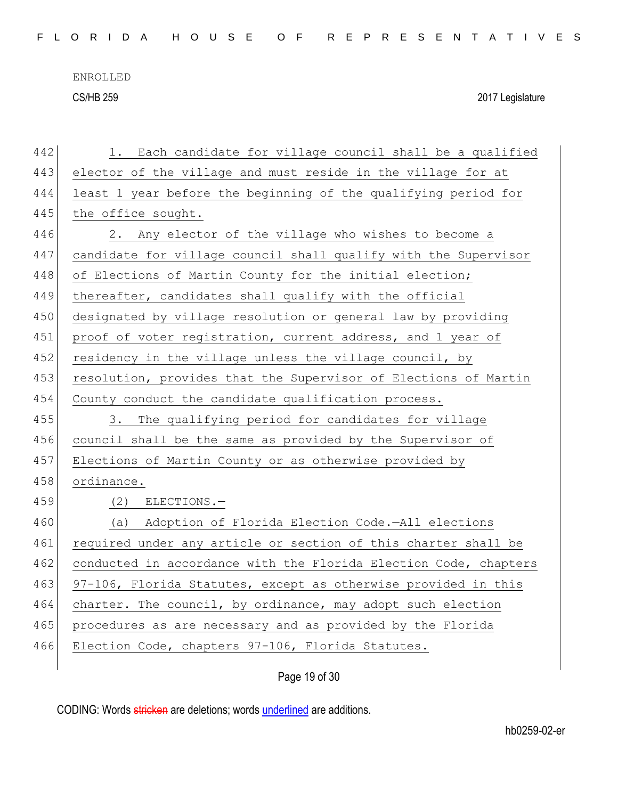| 442 | Each candidate for village council shall be a qualified<br>1.    |
|-----|------------------------------------------------------------------|
| 443 | elector of the village and must reside in the village for at     |
| 444 | least 1 year before the beginning of the qualifying period for   |
| 445 | the office sought.                                               |
| 446 | Any elector of the village who wishes to become a<br>2.          |
| 447 | candidate for village council shall qualify with the Supervisor  |
| 448 | of Elections of Martin County for the initial election;          |
| 449 | thereafter, candidates shall qualify with the official           |
| 450 | designated by village resolution or general law by providing     |
| 451 | proof of voter registration, current address, and 1 year of      |
| 452 | residency in the village unless the village council, by          |
| 453 | resolution, provides that the Supervisor of Elections of Martin  |
| 454 | County conduct the candidate qualification process.              |
| 455 | The qualifying period for candidates for village<br>3.           |
| 456 | council shall be the same as provided by the Supervisor of       |
| 457 | Elections of Martin County or as otherwise provided by           |
| 458 | ordinance.                                                       |
| 459 | $(2)$ ELECTIONS. -                                               |
| 460 | (a) Adoption of Florida Election Code.-All elections             |
| 461 | required under any article or section of this charter shall be   |
| 462 | conducted in accordance with the Florida Election Code, chapters |
| 463 | 97-106, Florida Statutes, except as otherwise provided in this   |
| 464 | charter. The council, by ordinance, may adopt such election      |
| 465 | procedures as are necessary and as provided by the Florida       |
| 466 | Election Code, chapters 97-106, Florida Statutes.                |
|     |                                                                  |

Page 19 of 30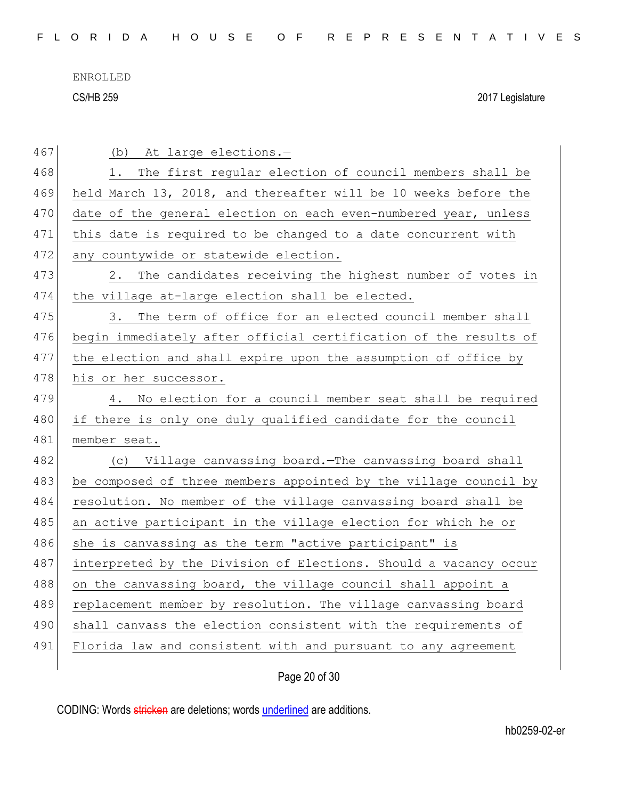ENROLLED

CS/HB 259 2017 Legislature

| 467 | (b) At large elections.-                                         |
|-----|------------------------------------------------------------------|
| 468 | The first regular election of council members shall be<br>1.     |
| 469 | held March 13, 2018, and thereafter will be 10 weeks before the  |
| 470 | date of the general election on each even-numbered year, unless  |
| 471 | this date is required to be changed to a date concurrent with    |
| 472 | any countywide or statewide election.                            |
| 473 | 2. The candidates receiving the highest number of votes in       |
| 474 | the village at-large election shall be elected.                  |
| 475 | The term of office for an elected council member shall<br>3.     |
| 476 | begin immediately after official certification of the results of |
| 477 | the election and shall expire upon the assumption of office by   |
| 478 | his or her successor.                                            |
| 479 | No election for a council member seat shall be required<br>4.    |
|     |                                                                  |
| 480 | if there is only one duly qualified candidate for the council    |
| 481 | member seat.                                                     |
| 482 | (c) Village canvassing board. The canvassing board shall         |
| 483 | be composed of three members appointed by the village council by |
| 484 | resolution. No member of the village canvassing board shall be   |
| 485 | an active participant in the village election for which he or    |
| 486 | she is canvassing as the term "active participant" is            |
| 487 | interpreted by the Division of Elections. Should a vacancy occur |
| 488 | on the canvassing board, the village council shall appoint a     |
| 489 | replacement member by resolution. The village canvassing board   |
| 490 | shall canvass the election consistent with the requirements of   |
| 491 | Florida law and consistent with and pursuant to any agreement    |

Page 20 of 30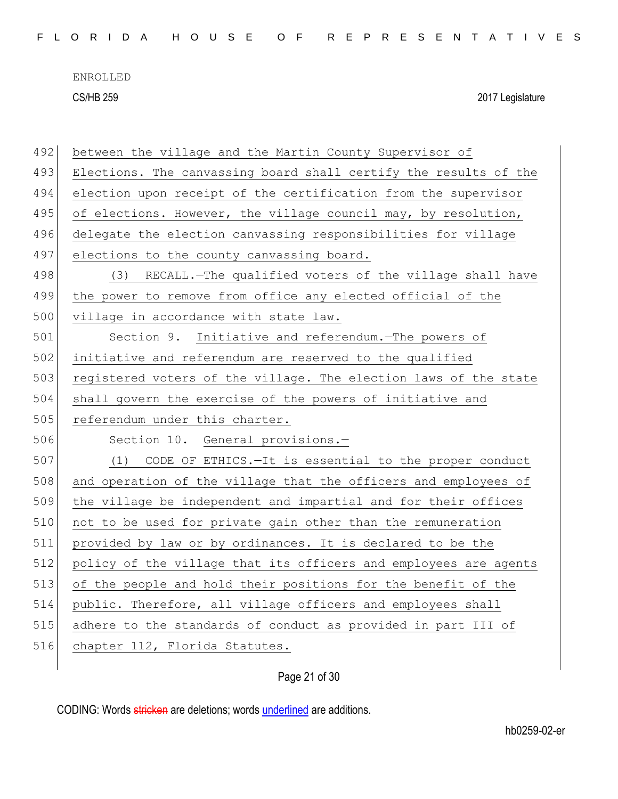| 492 | between the village and the Martin County Supervisor of          |
|-----|------------------------------------------------------------------|
| 493 | Elections. The canvassing board shall certify the results of the |
| 494 | election upon receipt of the certification from the supervisor   |
| 495 | of elections. However, the village council may, by resolution,   |
| 496 | delegate the election canvassing responsibilities for village    |
| 497 | elections to the county canvassing board.                        |
| 498 | (3) RECALL. The qualified voters of the village shall have       |
| 499 | the power to remove from office any elected official of the      |
| 500 | village in accordance with state law.                            |
| 501 | Section 9. Initiative and referendum. The powers of              |
| 502 | initiative and referendum are reserved to the qualified          |
| 503 | registered voters of the village. The election laws of the state |
| 504 | shall govern the exercise of the powers of initiative and        |
|     |                                                                  |
| 505 | referendum under this charter.                                   |
| 506 | Section 10. General provisions.-                                 |
| 507 | (1) CODE OF ETHICS. - It is essential to the proper conduct      |
| 508 | and operation of the village that the officers and employees of  |
| 509 | the village be independent and impartial and for their offices   |
| 510 | not to be used for private gain other than the remuneration      |
| 511 | provided by law or by ordinances. It is declared to be the       |
| 512 | policy of the village that its officers and employees are agents |
| 513 | of the people and hold their positions for the benefit of the    |
| 514 | public. Therefore, all village officers and employees shall      |
| 515 | adhere to the standards of conduct as provided in part III of    |
| 516 | chapter 112, Florida Statutes.                                   |

Page 21 of 30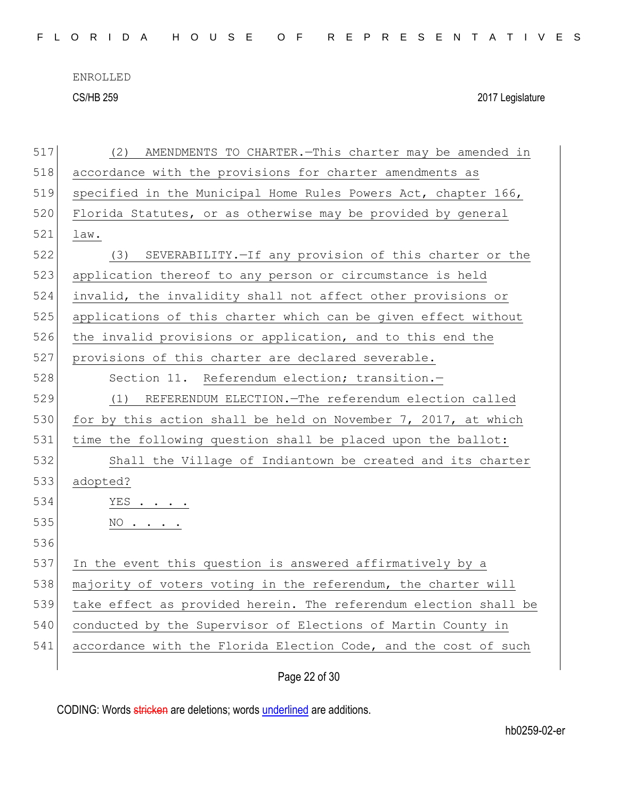| 517 | AMENDMENTS TO CHARTER. - This charter may be amended in<br>(2)   |
|-----|------------------------------------------------------------------|
| 518 | accordance with the provisions for charter amendments as         |
| 519 | specified in the Municipal Home Rules Powers Act, chapter 166,   |
| 520 | Florida Statutes, or as otherwise may be provided by general     |
| 521 | law.                                                             |
| 522 | SEVERABILITY. - If any provision of this charter or the<br>(3)   |
| 523 | application thereof to any person or circumstance is held        |
| 524 | invalid, the invalidity shall not affect other provisions or     |
| 525 | applications of this charter which can be given effect without   |
| 526 | the invalid provisions or application, and to this end the       |
| 527 | provisions of this charter are declared severable.               |
| 528 | Section 11. Referendum election; transition.-                    |
| 529 | REFERENDUM ELECTION. - The referendum election called<br>(1)     |
| 530 | for by this action shall be held on November 7, 2017, at which   |
| 531 | time the following question shall be placed upon the ballot:     |
| 532 | Shall the Village of Indiantown be created and its charter       |
| 533 | adopted?                                                         |
| 534 | $YES$                                                            |
| 535 | NO                                                               |
| 536 |                                                                  |
| 537 | In the event this question is answered affirmatively by a        |
| 538 | majority of voters voting in the referendum, the charter will    |
| 539 | take effect as provided herein. The referendum election shall be |
| 540 | conducted by the Supervisor of Elections of Martin County in     |
| 541 | accordance with the Florida Election Code, and the cost of such  |
|     |                                                                  |

Page 22 of 30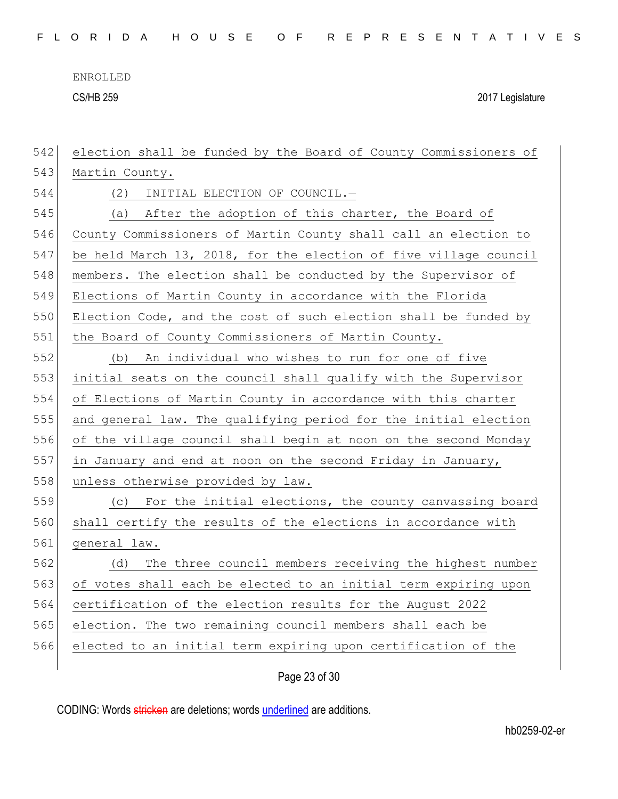| 542 | election shall be funded by the Board of County Commissioners of |
|-----|------------------------------------------------------------------|
| 543 | Martin County.                                                   |
| 544 | INITIAL ELECTION OF COUNCIL.-<br>(2)                             |
| 545 | (a) After the adoption of this charter, the Board of             |
| 546 | County Commissioners of Martin County shall call an election to  |
| 547 | be held March 13, 2018, for the election of five village council |
| 548 | members. The election shall be conducted by the Supervisor of    |
| 549 | Elections of Martin County in accordance with the Florida        |
| 550 | Election Code, and the cost of such election shall be funded by  |
| 551 | the Board of County Commissioners of Martin County.              |
| 552 | An individual who wishes to run for one of five<br>(b)           |
| 553 | initial seats on the council shall qualify with the Supervisor   |
| 554 | of Elections of Martin County in accordance with this charter    |
| 555 | and general law. The qualifying period for the initial election  |
| 556 | of the village council shall begin at noon on the second Monday  |
| 557 | in January and end at noon on the second Friday in January,      |
| 558 | unless otherwise provided by law.                                |
| 559 | (c) For the initial elections, the county canvassing board       |
| 560 | shall certify the results of the elections in accordance with    |
| 561 | general law.                                                     |
| 562 | The three council members receiving the highest number<br>(d)    |
| 563 | of votes shall each be elected to an initial term expiring upon  |
| 564 | certification of the election results for the August 2022        |
| 565 | election. The two remaining council members shall each be        |
| 566 | elected to an initial term expiring upon certification of the    |
|     |                                                                  |

Page 23 of 30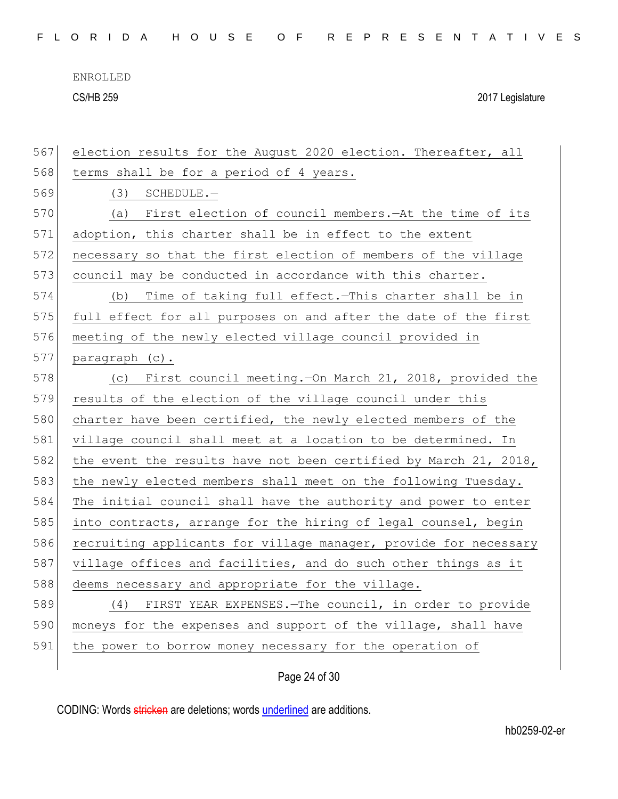| 567 | election results for the August 2020 election. Thereafter, all   |
|-----|------------------------------------------------------------------|
| 568 | terms shall be for a period of 4 years.                          |
| 569 | (3)<br>SCHEDULE.-                                                |
| 570 | First election of council members. - At the time of its<br>(a)   |
| 571 | adoption, this charter shall be in effect to the extent          |
| 572 | necessary so that the first election of members of the village   |
| 573 | council may be conducted in accordance with this charter.        |
| 574 | Time of taking full effect. This charter shall be in<br>(b)      |
| 575 | full effect for all purposes on and after the date of the first  |
| 576 | meeting of the newly elected village council provided in         |
| 577 | paragraph (c).                                                   |
| 578 | (c) First council meeting. - On March 21, 2018, provided the     |
| 579 | results of the election of the village council under this        |
| 580 | charter have been certified, the newly elected members of the    |
| 581 | village council shall meet at a location to be determined. In    |
| 582 | the event the results have not been certified by March 21, 2018, |
| 583 | the newly elected members shall meet on the following Tuesday.   |
| 584 | The initial council shall have the authority and power to enter  |
| 585 | into contracts, arrange for the hiring of legal counsel, begin   |
| 586 | recruiting applicants for village manager, provide for necessary |
| 587 | village offices and facilities, and do such other things as it   |
| 588 | deems necessary and appropriate for the village.                 |
| 589 | FIRST YEAR EXPENSES. - The council, in order to provide<br>(4)   |
| 590 | moneys for the expenses and support of the village, shall have   |
|     |                                                                  |
| 591 | the power to borrow money necessary for the operation of         |

Page 24 of 30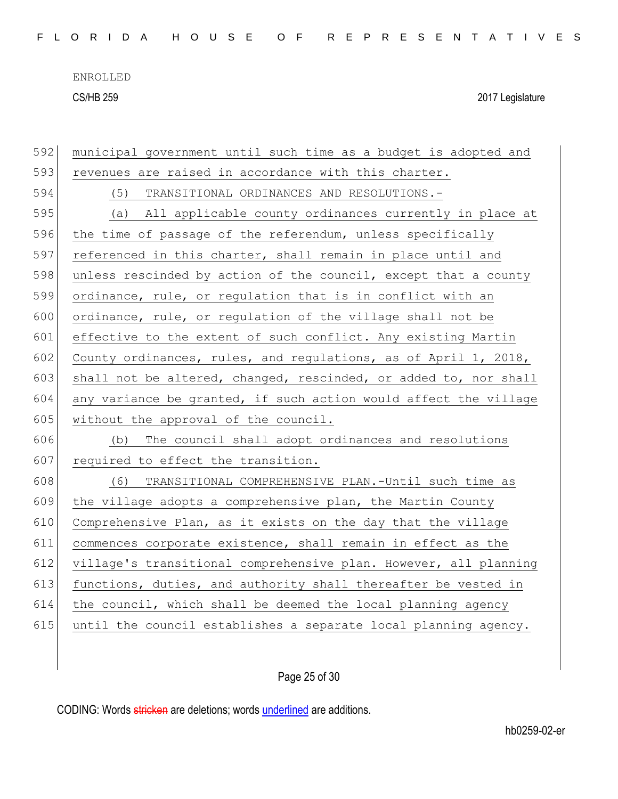| 592 | municipal government until such time as a budget is adopted and  |
|-----|------------------------------------------------------------------|
| 593 | revenues are raised in accordance with this charter.             |
| 594 | (5)<br>TRANSITIONAL ORDINANCES AND RESOLUTIONS.-                 |
| 595 | All applicable county ordinances currently in place at<br>(a)    |
| 596 | the time of passage of the referendum, unless specifically       |
| 597 | referenced in this charter, shall remain in place until and      |
| 598 | unless rescinded by action of the council, except that a county  |
| 599 | ordinance, rule, or regulation that is in conflict with an       |
| 600 | ordinance, rule, or regulation of the village shall not be       |
| 601 | effective to the extent of such conflict. Any existing Martin    |
| 602 | County ordinances, rules, and regulations, as of April 1, 2018,  |
| 603 | shall not be altered, changed, rescinded, or added to, nor shall |
| 604 | any variance be granted, if such action would affect the village |
|     |                                                                  |
| 605 | without the approval of the council.                             |
| 606 | The council shall adopt ordinances and resolutions<br>(b)        |
| 607 | required to effect the transition.                               |
| 608 | (6)<br>TRANSITIONAL COMPREHENSIVE PLAN.-Until such time as       |
| 609 | the village adopts a comprehensive plan, the Martin County       |
| 610 | Comprehensive Plan, as it exists on the day that the village     |
| 611 | commences corporate existence, shall remain in effect as the     |
| 612 | village's transitional comprehensive plan. However, all planning |
| 613 | functions, duties, and authority shall thereafter be vested in   |
| 614 | the council, which shall be deemed the local planning agency     |
| 615 | until the council establishes a separate local planning agency.  |
|     |                                                                  |

Page 25 of 30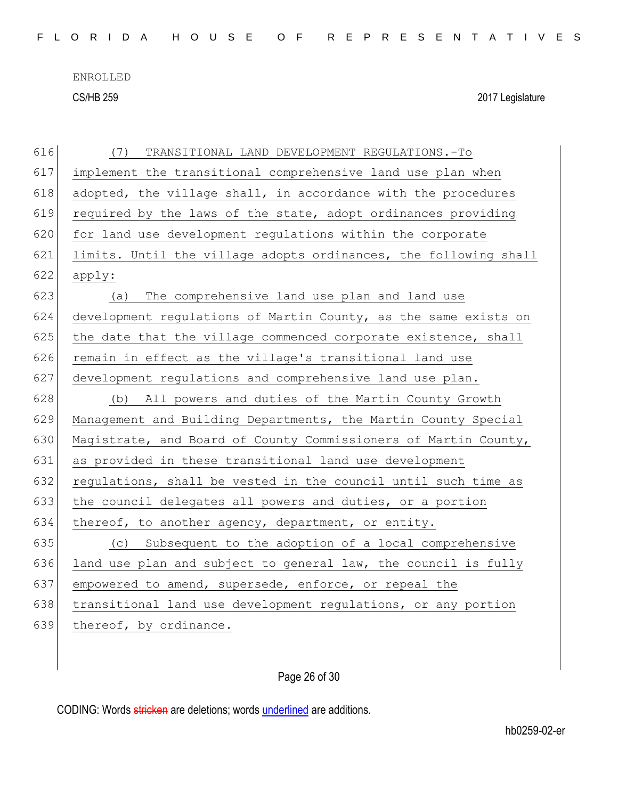| 616 | TRANSITIONAL LAND DEVELOPMENT REGULATIONS.-To<br>(7)             |
|-----|------------------------------------------------------------------|
| 617 | implement the transitional comprehensive land use plan when      |
| 618 | adopted, the village shall, in accordance with the procedures    |
| 619 | required by the laws of the state, adopt ordinances providing    |
| 620 | for land use development regulations within the corporate        |
| 621 | limits. Until the village adopts ordinances, the following shall |
| 622 | apply:                                                           |
| 623 | The comprehensive land use plan and land use<br>(a)              |
| 624 | development regulations of Martin County, as the same exists on  |
| 625 | the date that the village commenced corporate existence, shall   |
| 626 | remain in effect as the village's transitional land use          |
| 627 | development regulations and comprehensive land use plan.         |
| 628 | (b) All powers and duties of the Martin County Growth            |
| 629 | Management and Building Departments, the Martin County Special   |
| 630 | Magistrate, and Board of County Commissioners of Martin County,  |
| 631 | as provided in these transitional land use development           |
| 632 | regulations, shall be vested in the council until such time as   |
| 633 | the council delegates all powers and duties, or a portion        |
| 634 | thereof, to another agency, department, or entity.               |
| 635 | (c) Subsequent to the adoption of a local comprehensive          |
| 636 | land use plan and subject to general law, the council is fully   |
| 637 | empowered to amend, supersede, enforce, or repeal the            |
| 638 | transitional land use development regulations, or any portion    |
| 639 | thereof, by ordinance.                                           |
|     |                                                                  |

## Page 26 of 30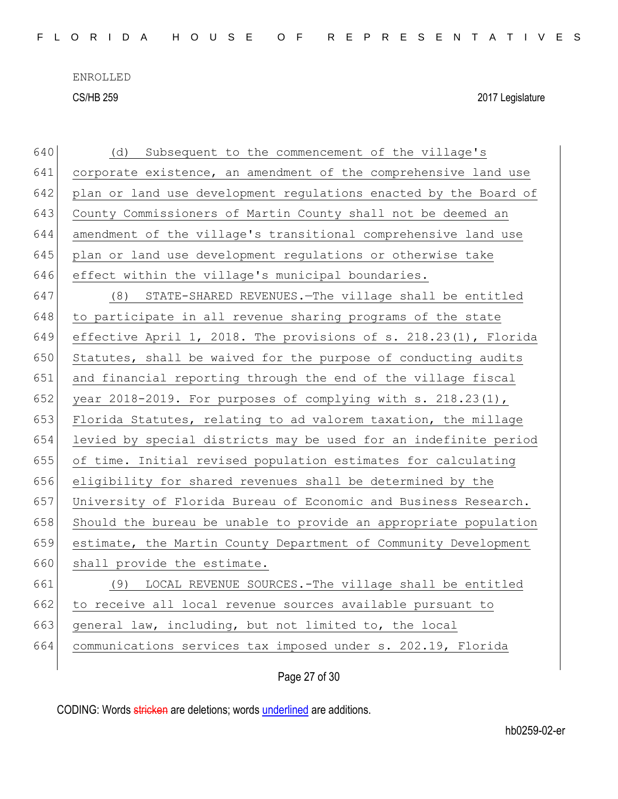| 640 | Subsequent to the commencement of the village's<br>(d)             |
|-----|--------------------------------------------------------------------|
| 641 | corporate existence, an amendment of the comprehensive land use    |
| 642 | plan or land use development regulations enacted by the Board of   |
| 643 | County Commissioners of Martin County shall not be deemed an       |
| 644 | amendment of the village's transitional comprehensive land use     |
| 645 | plan or land use development regulations or otherwise take         |
| 646 | effect within the village's municipal boundaries.                  |
| 647 | (8) STATE-SHARED REVENUES. The village shall be entitled           |
| 648 | to participate in all revenue sharing programs of the state        |
| 649 | effective April 1, 2018. The provisions of s. 218.23(1), Florida   |
| 650 | Statutes, shall be waived for the purpose of conducting audits     |
| 651 | and financial reporting through the end of the village fiscal      |
| 652 | year $2018-2019$ . For purposes of complying with s. $218.23(1)$ , |
| 653 | Florida Statutes, relating to ad valorem taxation, the millage     |
| 654 | levied by special districts may be used for an indefinite period   |
| 655 | of time. Initial revised population estimates for calculating      |
| 656 | eligibility for shared revenues shall be determined by the         |
| 657 | University of Florida Bureau of Economic and Business Research.    |
| 658 | Should the bureau be unable to provide an appropriate population   |
| 659 | estimate, the Martin County Department of Community Development    |
| 660 | shall provide the estimate.                                        |
| 661 | (9) LOCAL REVENUE SOURCES.-The village shall be entitled           |
| 662 | to receive all local revenue sources available pursuant to         |
| 663 | general law, including, but not limited to, the local              |
| 664 | communications services tax imposed under s. 202.19, Florida       |
|     |                                                                    |

Page 27 of 30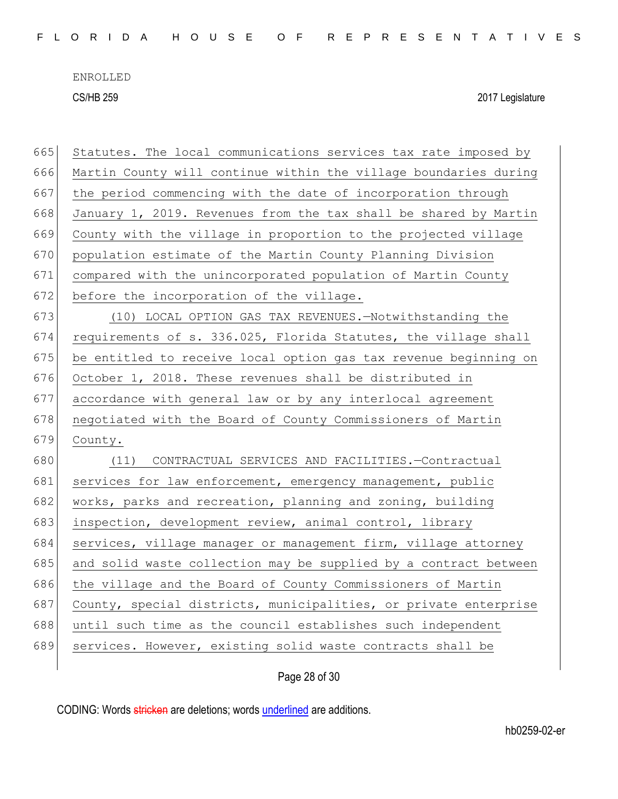| 665 | Statutes. The local communications services tax rate imposed by  |
|-----|------------------------------------------------------------------|
| 666 | Martin County will continue within the village boundaries during |
| 667 | the period commencing with the date of incorporation through     |
| 668 | January 1, 2019. Revenues from the tax shall be shared by Martin |
| 669 | County with the village in proportion to the projected village   |
| 670 | population estimate of the Martin County Planning Division       |
| 671 | compared with the unincorporated population of Martin County     |
| 672 | before the incorporation of the village.                         |
| 673 | (10) LOCAL OPTION GAS TAX REVENUES.-Notwithstanding the          |
| 674 | requirements of s. 336.025, Florida Statutes, the village shall  |
| 675 | be entitled to receive local option gas tax revenue beginning on |
| 676 | October 1, 2018. These revenues shall be distributed in          |
| 677 | accordance with general law or by any interlocal agreement       |
| 678 | negotiated with the Board of County Commissioners of Martin      |
| 679 | County.                                                          |
| 680 | (11) CONTRACTUAL SERVICES AND FACILITIES.-Contractual            |
| 681 | services for law enforcement, emergency management, public       |
| 682 | works, parks and recreation, planning and zoning, building       |
| 683 | inspection, development review, animal control, library          |
| 684 | services, village manager or management firm, village attorney   |
| 685 | and solid waste collection may be supplied by a contract between |
| 686 | the village and the Board of County Commissioners of Martin      |
| 687 | County, special districts, municipalities, or private enterprise |
| 688 | until such time as the council establishes such independent      |
| 689 | services. However, existing solid waste contracts shall be       |
|     |                                                                  |

Page 28 of 30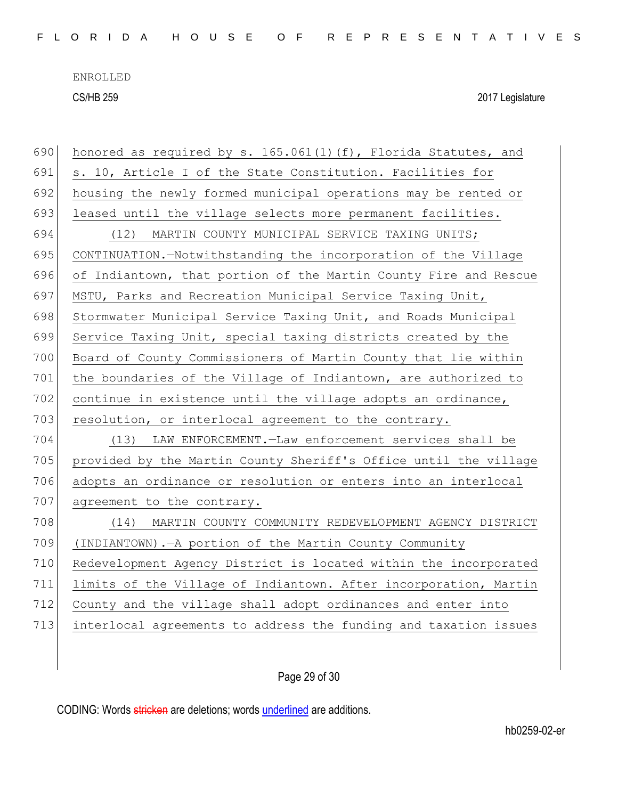| 690 | honored as required by s. 165.061(1)(f), Florida Statutes, and   |
|-----|------------------------------------------------------------------|
| 691 | s. 10, Article I of the State Constitution. Facilities for       |
| 692 | housing the newly formed municipal operations may be rented or   |
| 693 | leased until the village selects more permanent facilities.      |
| 694 | MARTIN COUNTY MUNICIPAL SERVICE TAXING UNITS;<br>(12)            |
| 695 | CONTINUATION.-Notwithstanding the incorporation of the Village   |
| 696 | of Indiantown, that portion of the Martin County Fire and Rescue |
| 697 | MSTU, Parks and Recreation Municipal Service Taxing Unit,        |
| 698 | Stormwater Municipal Service Taxing Unit, and Roads Municipal    |
| 699 | Service Taxing Unit, special taxing districts created by the     |
| 700 | Board of County Commissioners of Martin County that lie within   |
| 701 | the boundaries of the Village of Indiantown, are authorized to   |
| 702 | continue in existence until the village adopts an ordinance,     |
|     |                                                                  |
| 703 | resolution, or interlocal agreement to the contrary.             |
| 704 | (13) LAW ENFORCEMENT. - Law enforcement services shall be        |
| 705 | provided by the Martin County Sheriff's Office until the village |
| 706 | adopts an ordinance or resolution or enters into an interlocal   |
| 707 | agreement to the contrary.                                       |
| 708 | (14) MARTIN COUNTY COMMUNITY REDEVELOPMENT AGENCY DISTRICT       |
| 709 | (INDIANTOWN). - A portion of the Martin County Community         |
| 710 | Redevelopment Agency District is located within the incorporated |
| 711 | limits of the Village of Indiantown. After incorporation, Martin |
| 712 | County and the village shall adopt ordinances and enter into     |
| 713 | interlocal agreements to address the funding and taxation issues |
|     |                                                                  |

Page 29 of 30